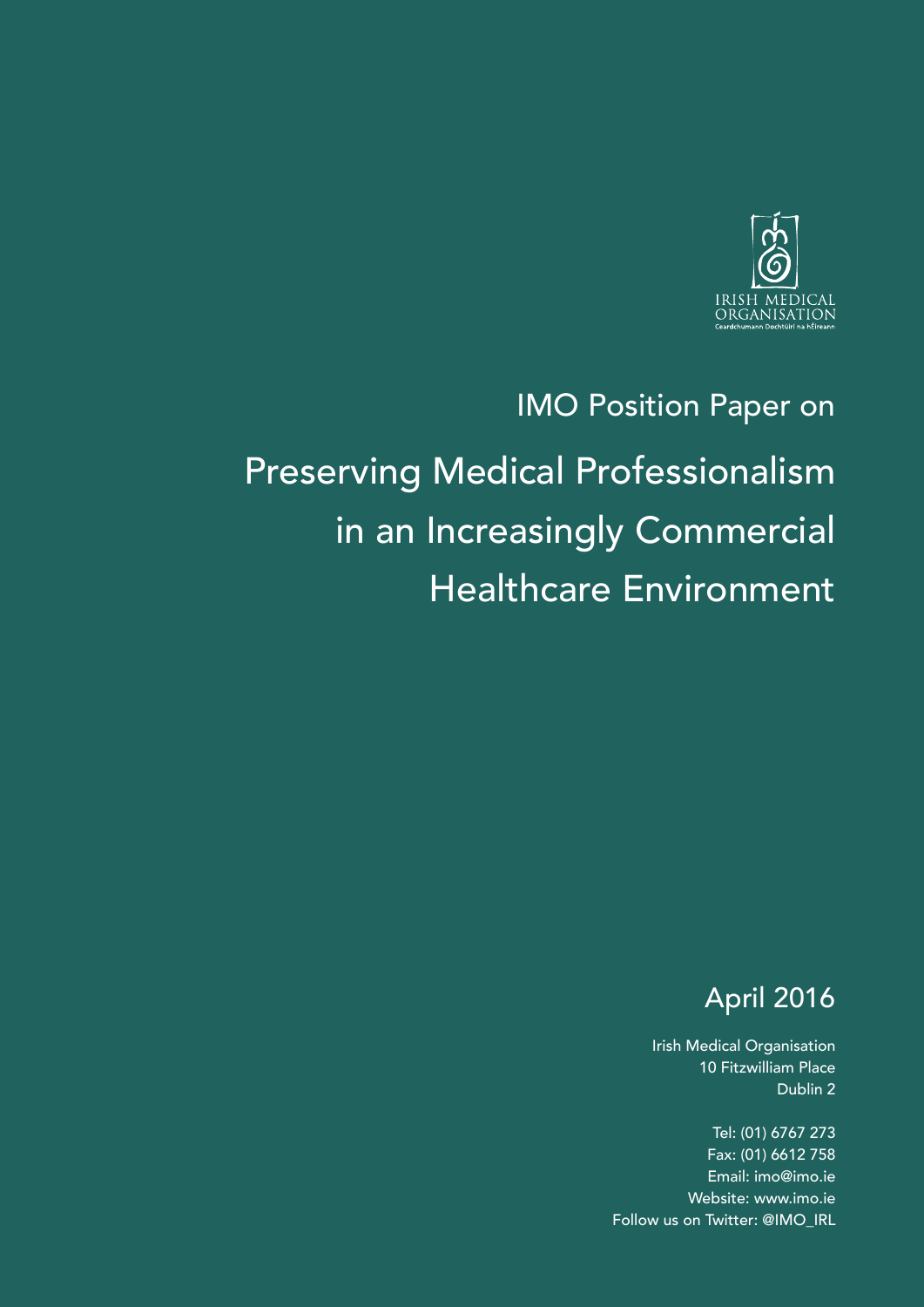

# IMO Position Paper on Preserving Medical Professionalism in an Increasingly Commercial Healthcare Environment

April 2016

Irish Medical Organisation 10 Fitzwilliam Place Dublin 2

Tel: (01) 6767 273 Fax: (01) 6612 758 Email: imo@imo.ie Website: www.imo.ie Follow us on Twitter: @IMO\_IRL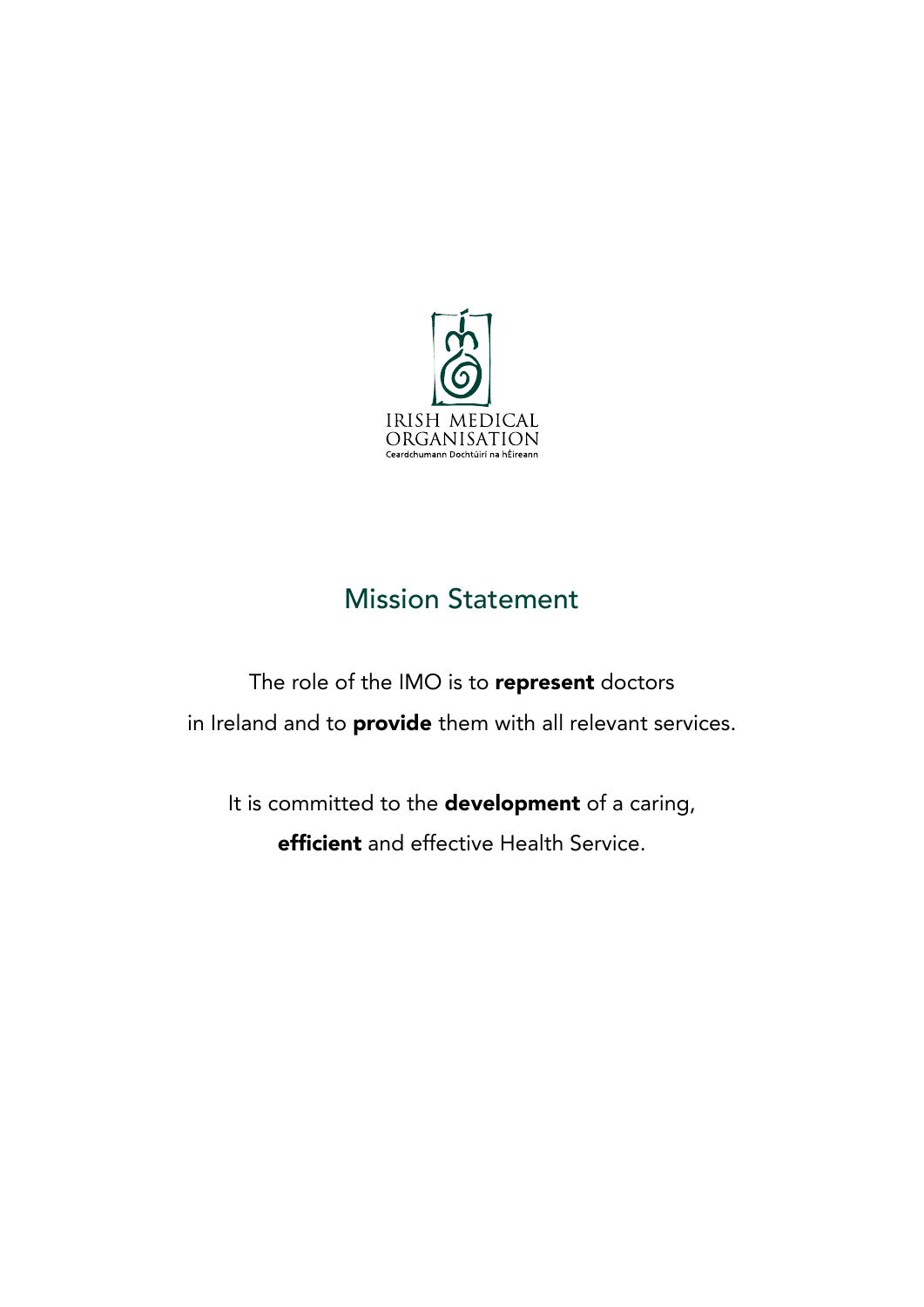

## Mission Statement

The role of the IMO is to represent doctors in Ireland and to **provide** them with all relevant services.

It is committed to the **development** of a caring, efficient and effective Health Service.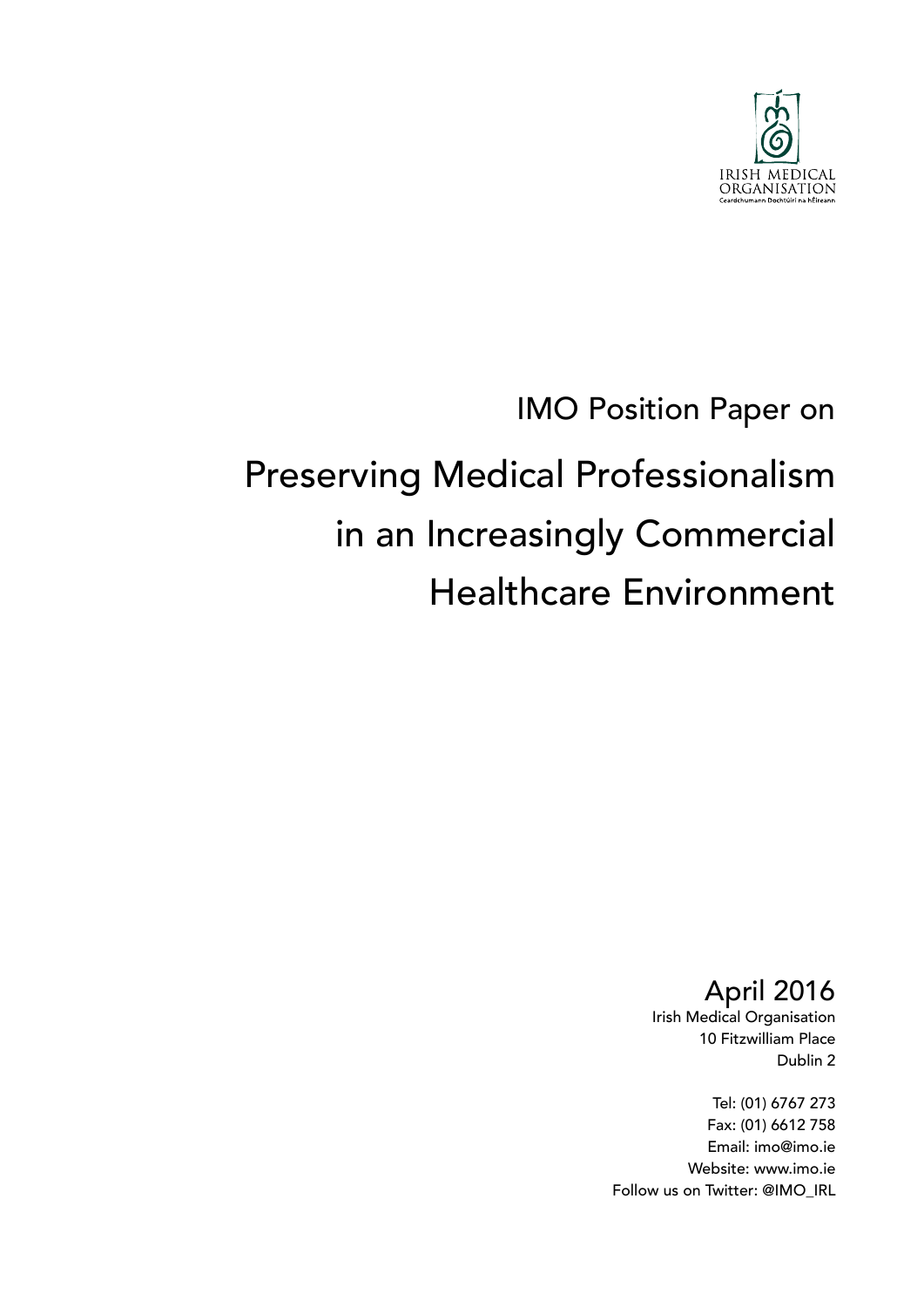

IMO Position Paper on Preserving Medical Professionalism in an Increasingly Commercial Healthcare Environment

April 2016

Irish Medical Organisation 10 Fitzwilliam Place Dublin 2

Tel: (01) 6767 273 Fax: (01) 6612 758 Email: imo@imo.ie Website: www.imo.ie Follow us on Twitter: @IMO\_IRL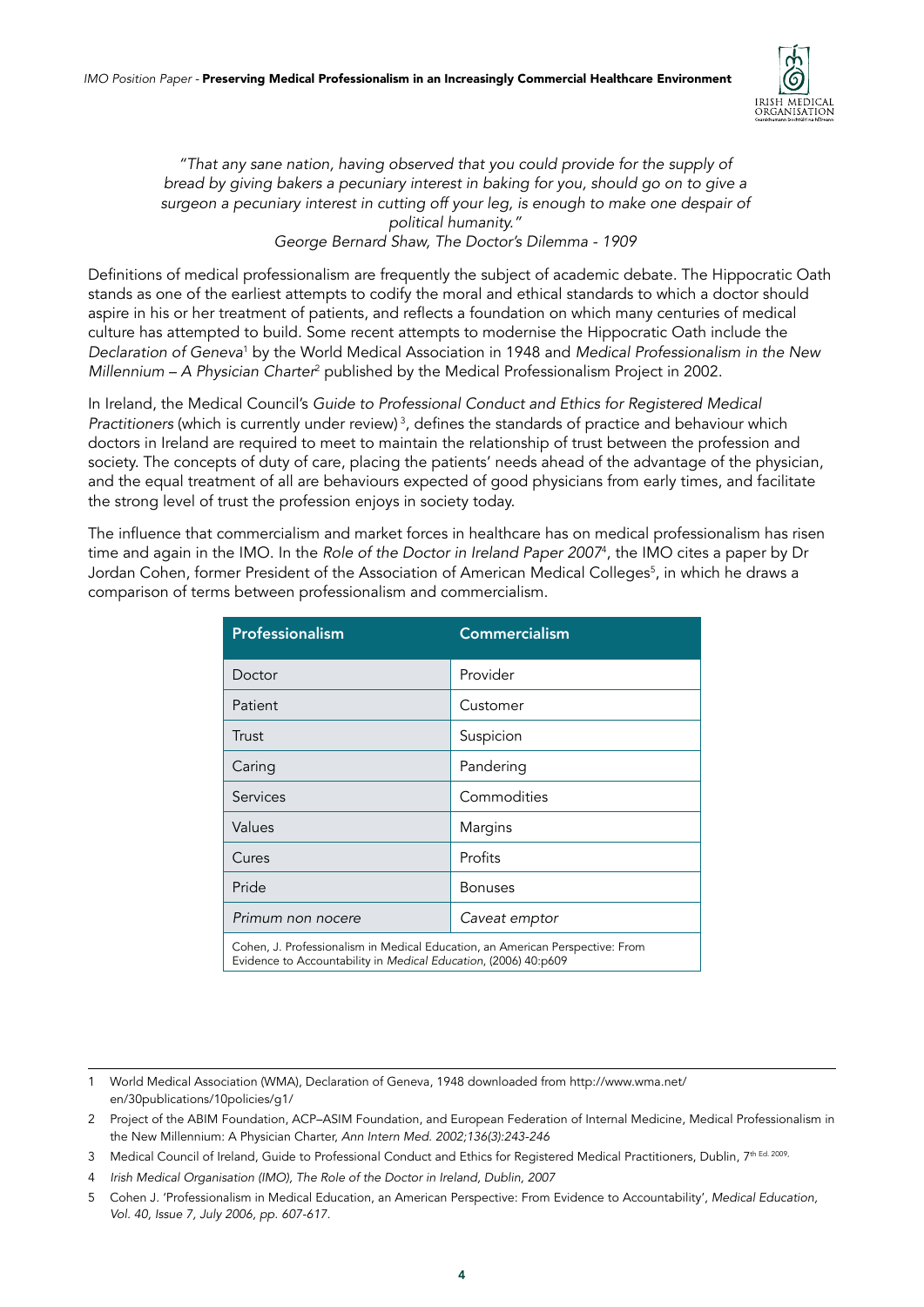

#### *"That any sane nation, having observed that you could provide for the supply of bread by giving bakers a pecuniary interest in baking for you, should go on to give a surgeon a pecuniary interest in cutting off your leg, is enough to make one despair of political humanity." George Bernard Shaw, The Doctor's Dilemma - 1909*

Definitions of medical professionalism are frequently the subject of academic debate. The Hippocratic Oath stands as one of the earliest attempts to codify the moral and ethical standards to which a doctor should aspire in his or her treatment of patients, and reflects a foundation on which many centuries of medical culture has attempted to build. Some recent attempts to modernise the Hippocratic Oath include the *Declaration of Geneva*<sup>1</sup> by the World Medical Association in 1948 and *Medical Professionalism in the New*  Millennium – A Physician Charter<sup>2</sup> published by the Medical Professionalism Project in 2002.

In Ireland, the Medical Council's *Guide to Professional Conduct and Ethics for Registered Medical Practitioners* (which is currently under review) 3, defines the standards of practice and behaviour which doctors in Ireland are required to meet to maintain the relationship of trust between the profession and society. The concepts of duty of care, placing the patients' needs ahead of the advantage of the physician, and the equal treatment of all are behaviours expected of good physicians from early times, and facilitate the strong level of trust the profession enjoys in society today.

The influence that commercialism and market forces in healthcare has on medical professionalism has risen time and again in the IMO. In the *Role of the Doctor in Ireland Paper 2007*<sup>4</sup> , the IMO cites a paper by Dr Jordan Cohen, former President of the Association of American Medical Colleges<sup>5</sup>, in which he draws a comparison of terms between professionalism and commercialism.

| <b>Professionalism</b>                                                                                                                           | <b>Commercialism</b> |  |
|--------------------------------------------------------------------------------------------------------------------------------------------------|----------------------|--|
| Doctor                                                                                                                                           | Provider             |  |
| Patient                                                                                                                                          | Customer             |  |
| Trust                                                                                                                                            | Suspicion            |  |
| Caring                                                                                                                                           | Pandering            |  |
| Services                                                                                                                                         | Commodities          |  |
| Values                                                                                                                                           | Margins              |  |
| Cures                                                                                                                                            | Profits              |  |
| Pride                                                                                                                                            | <b>Bonuses</b>       |  |
| Primum non nocere                                                                                                                                | Caveat emptor        |  |
| Cohen, J. Professionalism in Medical Education, an American Perspective: From<br>Evidence to Accountability in Medical Education, (2006) 40:p609 |                      |  |

1 World Medical Association (WMA), Declaration of Geneva, 1948 downloaded from http://www.wma.net/ en/30publications/10policies/g1/

2 Project of the ABIM Foundation, ACP–ASIM Foundation, and European Federation of Internal Medicine, Medical Professionalism in the New Millennium: A Physician Charter, *Ann Intern Med. 2002;136(3):243-246*

3 Medical Council of Ireland, Guide to Professional Conduct and Ethics for Registered Medical Practitioners, Dublin, 7<sup>th Ed. 2009,</sup>

4 *Irish Medical Organisation (IMO), The Role of the Doctor in Ireland, Dublin, 2007*

5 Cohen J. 'Professionalism in Medical Education, an American Perspective: From Evidence to Accountability', *Medical Education, Vol. 40, Issue 7, July 2006, pp. 607-617.*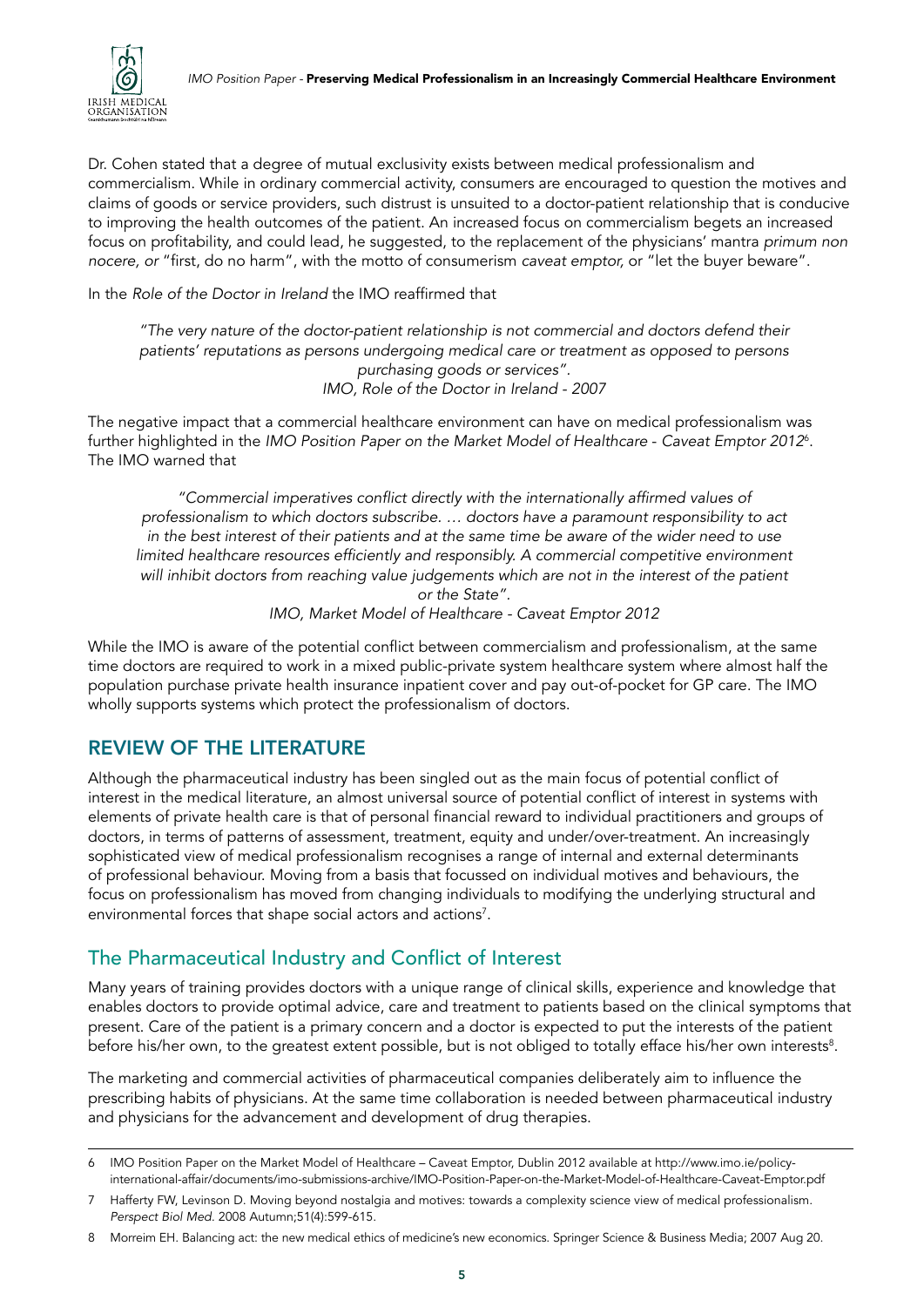

Dr. Cohen stated that a degree of mutual exclusivity exists between medical professionalism and commercialism. While in ordinary commercial activity, consumers are encouraged to question the motives and claims of goods or service providers, such distrust is unsuited to a doctor-patient relationship that is conducive to improving the health outcomes of the patient. An increased focus on commercialism begets an increased focus on profitability, and could lead, he suggested, to the replacement of the physicians' mantra *primum non nocere, or* "first, do no harm", with the motto of consumerism *caveat emptor,* or "let the buyer beware".

In the *Role of the Doctor in Ireland* the IMO reaffirmed that

*"The very nature of the doctor-patient relationship is not commercial and doctors defend their patients' reputations as persons undergoing medical care or treatment as opposed to persons purchasing goods or services". IMO, Role of the Doctor in Ireland - 2007*

The negative impact that a commercial healthcare environment can have on medical professionalism was further highlighted in the *IMO Position Paper on the Market Model of Healthcare* - *Caveat Emptor 2012*<sup>6</sup> . The IMO warned that

"Commercial imperatives conflict directly with the internationally affirmed values of *professionalism to which doctors subscribe. … doctors have a paramount responsibility to act in the best interest of their patients and at the same time be aware of the wider need to use*  limited healthcare resources efficiently and responsibly. *A commercial competitive environment*  will inhibit doctors from reaching value judgements which are not in the interest of the patient *or the State".* 

*IMO, Market Model of Healthcare - Caveat Emptor 2012*

While the IMO is aware of the potential conflict between commercialism and professionalism, at the same time doctors are required to work in a mixed public-private system healthcare system where almost half the population purchase private health insurance inpatient cover and pay out-of-pocket for GP care. The IMO wholly supports systems which protect the professionalism of doctors.

## REVIEW OF THE LITERATURE

Although the pharmaceutical industry has been singled out as the main focus of potential conflict of interest in the medical literature, an almost universal source of potential conflict of interest in systems with elements of private health care is that of personal financial reward to individual practitioners and groups of doctors, in terms of patterns of assessment, treatment, equity and under/over-treatment. An increasingly sophisticated view of medical professionalism recognises a range of internal and external determinants of professional behaviour. Moving from a basis that focussed on individual motives and behaviours, the focus on professionalism has moved from changing individuals to modifying the underlying structural and environmental forces that shape social actors and actions<sup>7</sup>.

## The Pharmaceutical Industry and Conflict of Interest

Many years of training provides doctors with a unique range of clinical skills, experience and knowledge that enables doctors to provide optimal advice, care and treatment to patients based on the clinical symptoms that present. Care of the patient is a primary concern and a doctor is expected to put the interests of the patient before his/her own, to the greatest extent possible, but is not obliged to totally efface his/her own interests $^{\rm 8}.$ 

The marketing and commercial activities of pharmaceutical companies deliberately aim to influence the prescribing habits of physicians. At the same time collaboration is needed between pharmaceutical industry and physicians for the advancement and development of drug therapies.

<sup>6</sup> IMO Position Paper on the Market Model of Healthcare – Caveat Emptor, Dublin 2012 available at http://www.imo.ie/policyinternational-affair/documents/imo-submissions-archive/IMO-Position-Paper-on-the-Market-Model-of-Healthcare-Caveat-Emptor.pdf

<sup>7</sup> Hafferty FW, Levinson D. Moving beyond nostalgia and motives: towards a complexity science view of medical professionalism. *Perspect Biol Med.* 2008 Autumn;51(4):599-615.

<sup>8</sup> Morreim EH. Balancing act: the new medical ethics of medicine's new economics. Springer Science & Business Media; 2007 Aug 20.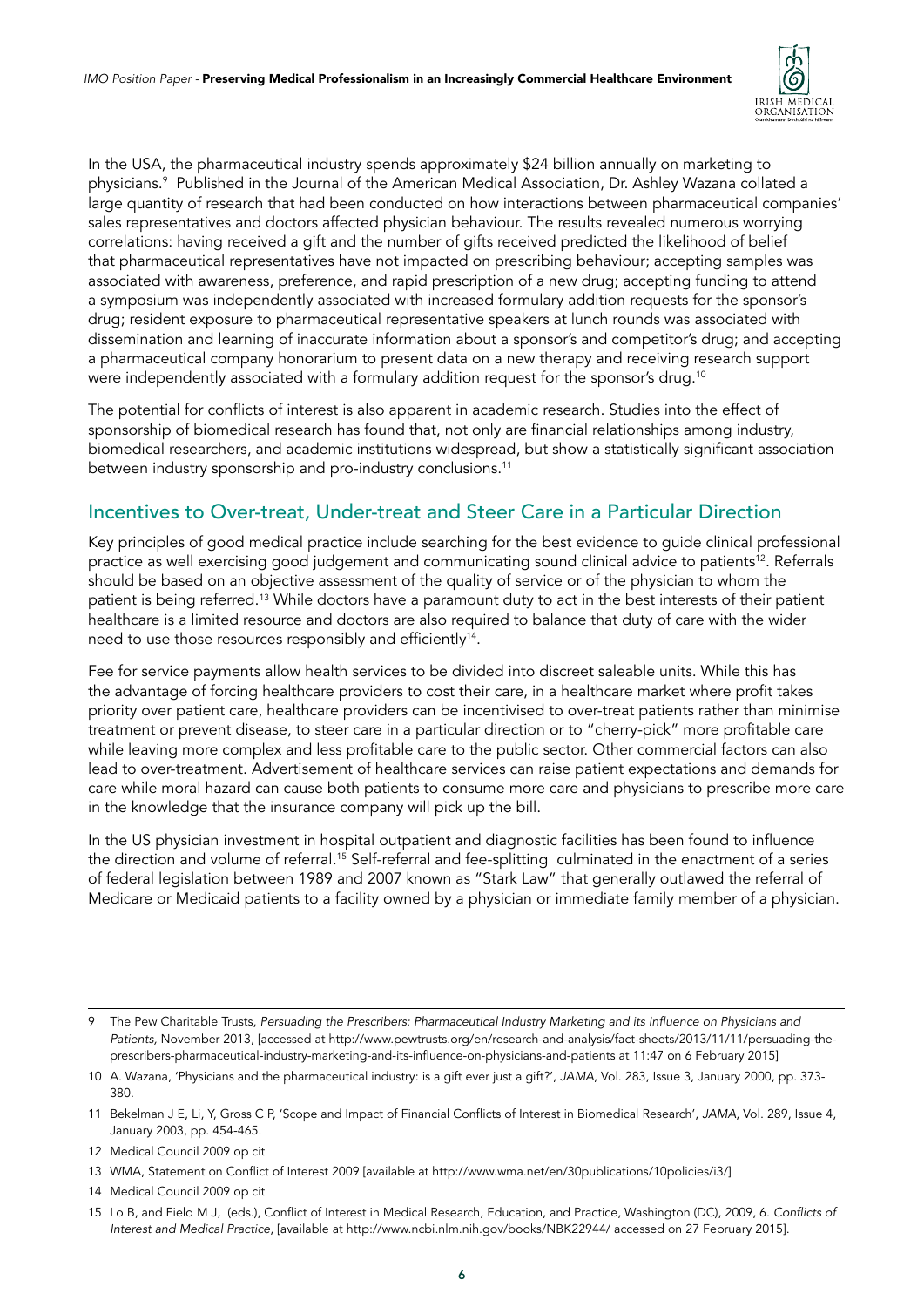

In the USA, the pharmaceutical industry spends approximately \$24 billion annually on marketing to physicians.9 Published in the Journal of the American Medical Association, Dr. Ashley Wazana collated a large quantity of research that had been conducted on how interactions between pharmaceutical companies' sales representatives and doctors affected physician behaviour. The results revealed numerous worrying correlations: having received a gift and the number of gifts received predicted the likelihood of belief that pharmaceutical representatives have not impacted on prescribing behaviour; accepting samples was associated with awareness, preference, and rapid prescription of a new drug; accepting funding to attend a symposium was independently associated with increased formulary addition requests for the sponsor's drug; resident exposure to pharmaceutical representative speakers at lunch rounds was associated with dissemination and learning of inaccurate information about a sponsor's and competitor's drug; and accepting a pharmaceutical company honorarium to present data on a new therapy and receiving research support were independently associated with a formulary addition request for the sponsor's drug.<sup>10</sup>

The potential for conflicts of interest is also apparent in academic research. Studies into the effect of sponsorship of biomedical research has found that, not only are financial relationships among industry, biomedical researchers, and academic institutions widespread, but show a statistically significant association between industry sponsorship and pro-industry conclusions.<sup>11</sup>

## Incentives to Over-treat, Under-treat and Steer Care in a Particular Direction

Key principles of good medical practice include searching for the best evidence to guide clinical professional practice as well exercising good judgement and communicating sound clinical advice to patients<sup>12</sup>. Referrals should be based on an objective assessment of the quality of service or of the physician to whom the patient is being referred.13 While doctors have a paramount duty to act in the best interests of their patient healthcare is a limited resource and doctors are also required to balance that duty of care with the wider need to use those resources responsibly and efficiently<sup>14</sup>.

Fee for service payments allow health services to be divided into discreet saleable units. While this has the advantage of forcing healthcare providers to cost their care, in a healthcare market where profit takes priority over patient care, healthcare providers can be incentivised to over-treat patients rather than minimise treatment or prevent disease, to steer care in a particular direction or to "cherry-pick" more profitable care while leaving more complex and less profitable care to the public sector. Other commercial factors can also lead to over-treatment. Advertisement of healthcare services can raise patient expectations and demands for care while moral hazard can cause both patients to consume more care and physicians to prescribe more care in the knowledge that the insurance company will pick up the bill.

In the US physician investment in hospital outpatient and diagnostic facilities has been found to influence the direction and volume of referral.<sup>15</sup> Self-referral and fee-splitting culminated in the enactment of a series of federal legislation between 1989 and 2007 known as "Stark Law" that generally outlawed the referral of Medicare or Medicaid patients to a facility owned by a physician or immediate family member of a physician.

<sup>9</sup> The Pew Charitable Trusts, Persuading the Prescribers: Pharmaceutical Industry Marketing and its Influence on Physicians and *Patients,* November 2013, [accessed at http://www.pewtrusts.org/en/research-and-analysis/fact-sheets/2013/11/11/persuading-theprescribers-pharmaceutical-industry-marketing-and-its-influence-on-physicians-and-patients at 11:47 on 6 February 2015]

<sup>10</sup> A. Wazana, 'Physicians and the pharmaceutical industry: is a gift ever just a gift?', *JAMA*, Vol. 283, Issue 3, January 2000, pp. 373- 380.

<sup>11</sup> Bekelman J E, Li, Y, Gross C P, 'Scope and Impact of Financial Conflicts of Interest in Biomedical Research', *JAMA*, Vol. 289, Issue 4, January 2003, pp. 454-465.

<sup>12</sup> Medical Council 2009 op cit

<sup>13</sup> WMA, Statement on Conflict of Interest 2009 [available at http://www.wma.net/en/30publications/10policies/i3/]

<sup>14</sup> Medical Council 2009 op cit

<sup>15</sup> Lo B, and Field M J, (eds.), Conflict of Interest in Medical Research, Education, and Practice, Washington (DC), 2009, 6. Conflicts of *Interest and Medical Practice*, [available at http://www.ncbi.nlm.nih.gov/books/NBK22944/ accessed on 27 February 2015].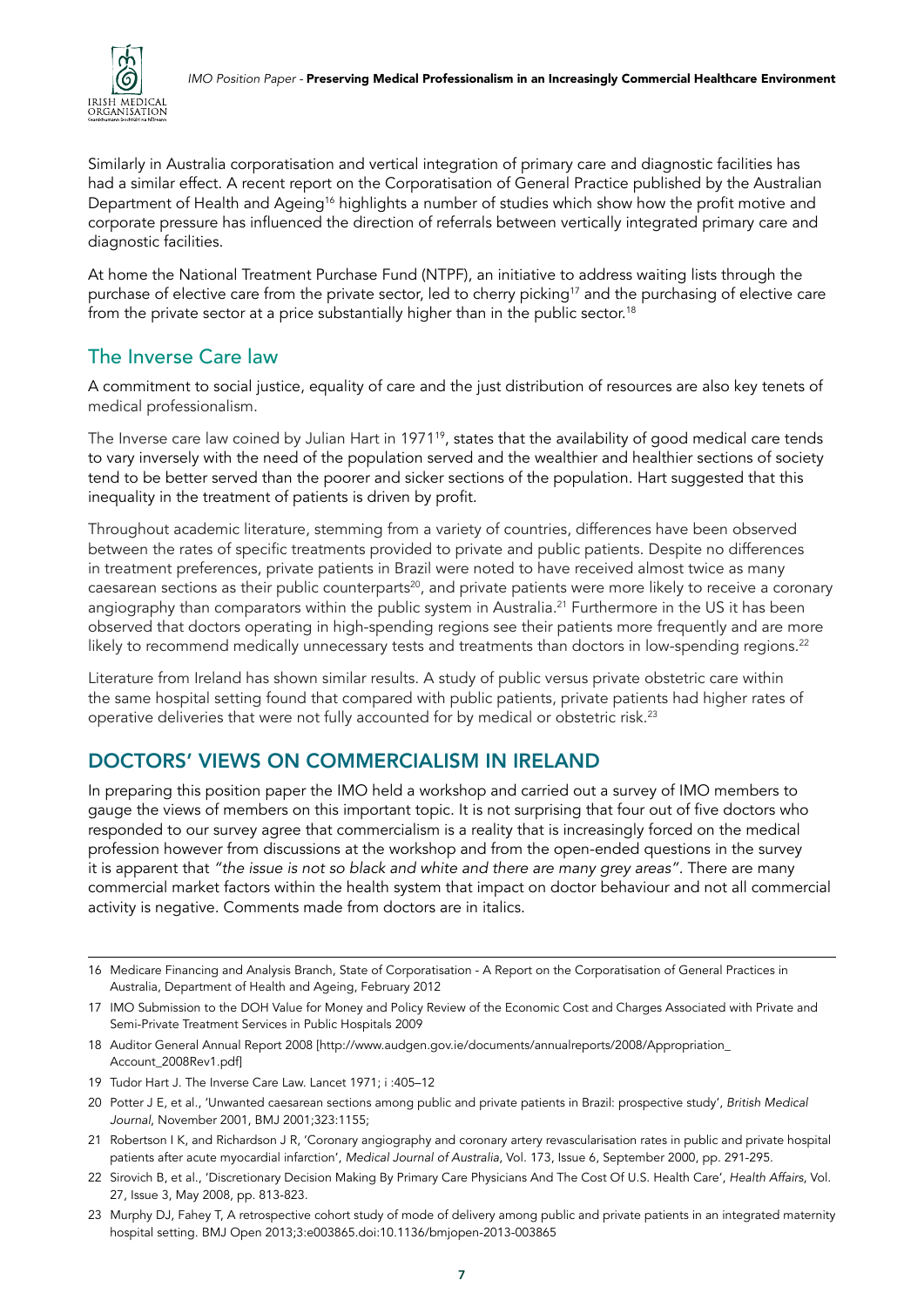

Similarly in Australia corporatisation and vertical integration of primary care and diagnostic facilities has had a similar effect. A recent report on the Corporatisation of General Practice published by the Australian Department of Health and Ageing<sup>16</sup> highlights a number of studies which show how the profit motive and corporate pressure has influenced the direction of referrals between vertically integrated primary care and diagnostic facilities.

At home the National Treatment Purchase Fund (NTPF), an initiative to address waiting lists through the purchase of elective care from the private sector, led to cherry picking<sup>17</sup> and the purchasing of elective care from the private sector at a price substantially higher than in the public sector.<sup>18</sup>

## The Inverse Care law

A commitment to social justice, equality of care and the just distribution of resources are also key tenets of medical professionalism.

The Inverse care law coined by Julian Hart in 1971<sup>19</sup>, states that the availability of good medical care tends to vary inversely with the need of the population served and the wealthier and healthier sections of society tend to be better served than the poorer and sicker sections of the population. Hart suggested that this inequality in the treatment of patients is driven by profit.

Throughout academic literature, stemming from a variety of countries, differences have been observed between the rates of specific treatments provided to private and public patients. Despite no differences in treatment preferences, private patients in Brazil were noted to have received almost twice as many caesarean sections as their public counterparts<sup>20</sup>, and private patients were more likely to receive a coronary angiography than comparators within the public system in Australia.<sup>21</sup> Furthermore in the US it has been observed that doctors operating in high-spending regions see their patients more frequently and are more likely to recommend medically unnecessary tests and treatments than doctors in low-spending regions.<sup>22</sup>

Literature from Ireland has shown similar results. A study of public versus private obstetric care within the same hospital setting found that compared with public patients, private patients had higher rates of operative deliveries that were not fully accounted for by medical or obstetric risk.23

## DOCTORS' VIEWS ON COMMERCIALISM IN IRELAND

In preparing this position paper the IMO held a workshop and carried out a survey of IMO members to gauge the views of members on this important topic. It is not surprising that four out of five doctors who responded to our survey agree that commercialism is a reality that is increasingly forced on the medical profession however from discussions at the workshop and from the open-ended questions in the survey it is apparent that *"the issue is not so black and white and there are many grey areas".* There are many commercial market factors within the health system that impact on doctor behaviour and not all commercial activity is negative. Comments made from doctors are in italics.

- 22 Sirovich B, et al., 'Discretionary Decision Making By Primary Care Physicians And The Cost Of U.S. Health Care', *Health Affairs*, Vol. 27, Issue 3, May 2008, pp. 813-823.
- 23 Murphy DJ, Fahey T, A retrospective cohort study of mode of delivery among public and private patients in an integrated maternity hospital setting. BMJ Open 2013;3:e003865.doi:10.1136/bmjopen-2013-003865

<sup>16</sup> Medicare Financing and Analysis Branch, State of Corporatisation - A Report on the Corporatisation of General Practices in Australia, Department of Health and Ageing, February 2012

<sup>17</sup> IMO Submission to the DOH Value for Money and Policy Review of the Economic Cost and Charges Associated with Private and Semi-Private Treatment Services in Public Hospitals 2009

<sup>18</sup> Auditor General Annual Report 2008 [http://www.audgen.gov.ie/documents/annualreports/2008/Appropriation\_ Account\_2008Rev1.pdf]

<sup>19</sup> Tudor Hart J. The Inverse Care Law. Lancet 1971; i :405–12

<sup>20</sup> Potter J E, et al., 'Unwanted caesarean sections among public and private patients in Brazil: prospective study', *British Medical Journal*, November 2001, BMJ 2001;323:1155;

<sup>21</sup> Robertson I K, and Richardson J R, 'Coronary angiography and coronary artery revascularisation rates in public and private hospital patients after acute myocardial infarction', *Medical Journal of Australia*, Vol. 173, Issue 6, September 2000, pp. 291-295.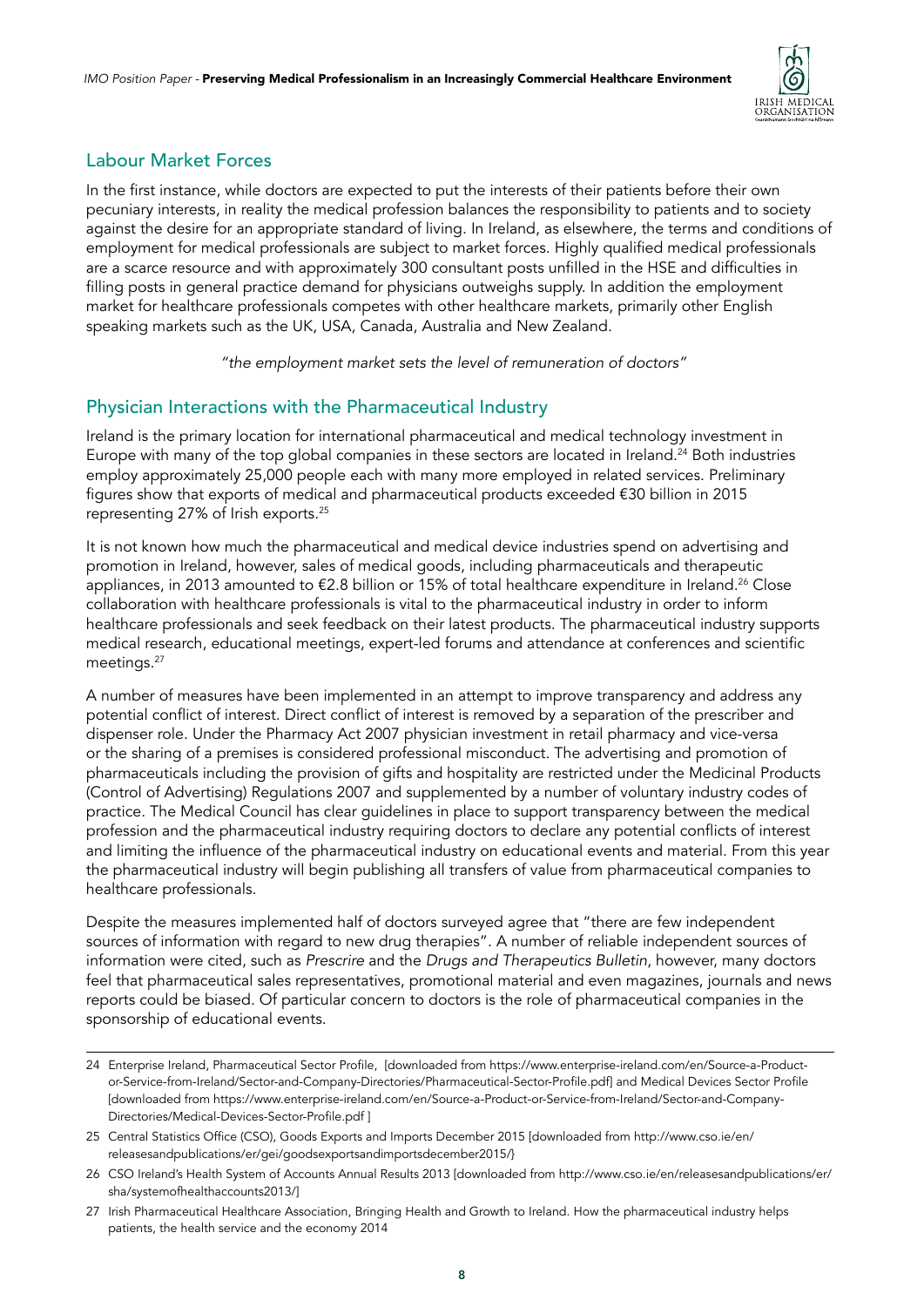

#### Labour Market Forces

In the first instance, while doctors are expected to put the interests of their patients before their own pecuniary interests, in reality the medical profession balances the responsibility to patients and to society against the desire for an appropriate standard of living. In Ireland, as elsewhere, the terms and conditions of employment for medical professionals are subject to market forces. Highly qualified medical professionals are a scarce resource and with approximately 300 consultant posts unfilled in the HSE and difficulties in filling posts in general practice demand for physicians outweighs supply. In addition the employment market for healthcare professionals competes with other healthcare markets, primarily other English speaking markets such as the UK, USA, Canada, Australia and New Zealand.

*"the employment market sets the level of remuneration of doctors"*

#### Physician Interactions with the Pharmaceutical Industry

Ireland is the primary location for international pharmaceutical and medical technology investment in Europe with many of the top global companies in these sectors are located in Ireland.<sup>24</sup> Both industries employ approximately 25,000 people each with many more employed in related services. Preliminary figures show that exports of medical and pharmaceutical products exceeded €30 billion in 2015 representing 27% of Irish exports.25

It is not known how much the pharmaceutical and medical device industries spend on advertising and promotion in Ireland, however, sales of medical goods, including pharmaceuticals and therapeutic appliances, in 2013 amounted to €2.8 billion or 15% of total healthcare expenditure in Ireland.<sup>26</sup> Close collaboration with healthcare professionals is vital to the pharmaceutical industry in order to inform healthcare professionals and seek feedback on their latest products. The pharmaceutical industry supports medical research, educational meetings, expert-led forums and attendance at conferences and scientific meetings.27

A number of measures have been implemented in an attempt to improve transparency and address any potential conflict of interest. Direct conflict of interest is removed by a separation of the prescriber and dispenser role. Under the Pharmacy Act 2007 physician investment in retail pharmacy and vice-versa or the sharing of a premises is considered professional misconduct. The advertising and promotion of pharmaceuticals including the provision of gifts and hospitality are restricted under the Medicinal Products (Control of Advertising) Regulations 2007 and supplemented by a number of voluntary industry codes of practice. The Medical Council has clear guidelines in place to support transparency between the medical profession and the pharmaceutical industry requiring doctors to declare any potential conflicts of interest and limiting the influence of the pharmaceutical industry on educational events and material. From this year the pharmaceutical industry will begin publishing all transfers of value from pharmaceutical companies to healthcare professionals.

Despite the measures implemented half of doctors surveyed agree that "there are few independent sources of information with regard to new drug therapies". A number of reliable independent sources of information were cited, such as *Prescrire* and the *Drugs and Therapeutics Bulletin*, however, many doctors feel that pharmaceutical sales representatives, promotional material and even magazines, journals and news reports could be biased. Of particular concern to doctors is the role of pharmaceutical companies in the sponsorship of educational events.

<sup>24</sup> Enterprise Ireland, Pharmaceutical Sector Profile, [downloaded from https://www.enterprise-ireland.com/en/Source-a-Productor-Service-from-Ireland/Sector-and-Company-Directories/Pharmaceutical-Sector-Profile.pdf] and Medical Devices Sector Profile [downloaded from https://www.enterprise-ireland.com/en/Source-a-Product-or-Service-from-Ireland/Sector-and-Company-Directories/Medical-Devices-Sector-Profile.pdf ]

<sup>25</sup> Central Statistics Office (CSO), Goods Exports and Imports December 2015 [downloaded from http://www.cso.ie/en/ releasesandpublications/er/gei/goodsexportsandimportsdecember2015/}

<sup>26</sup> CSO Ireland's Health System of Accounts Annual Results 2013 [downloaded from http://www.cso.ie/en/releasesandpublications/er/ sha/systemofhealthaccounts2013/]

<sup>27</sup> Irish Pharmaceutical Healthcare Association, Bringing Health and Growth to Ireland. How the pharmaceutical industry helps patients, the health service and the economy 2014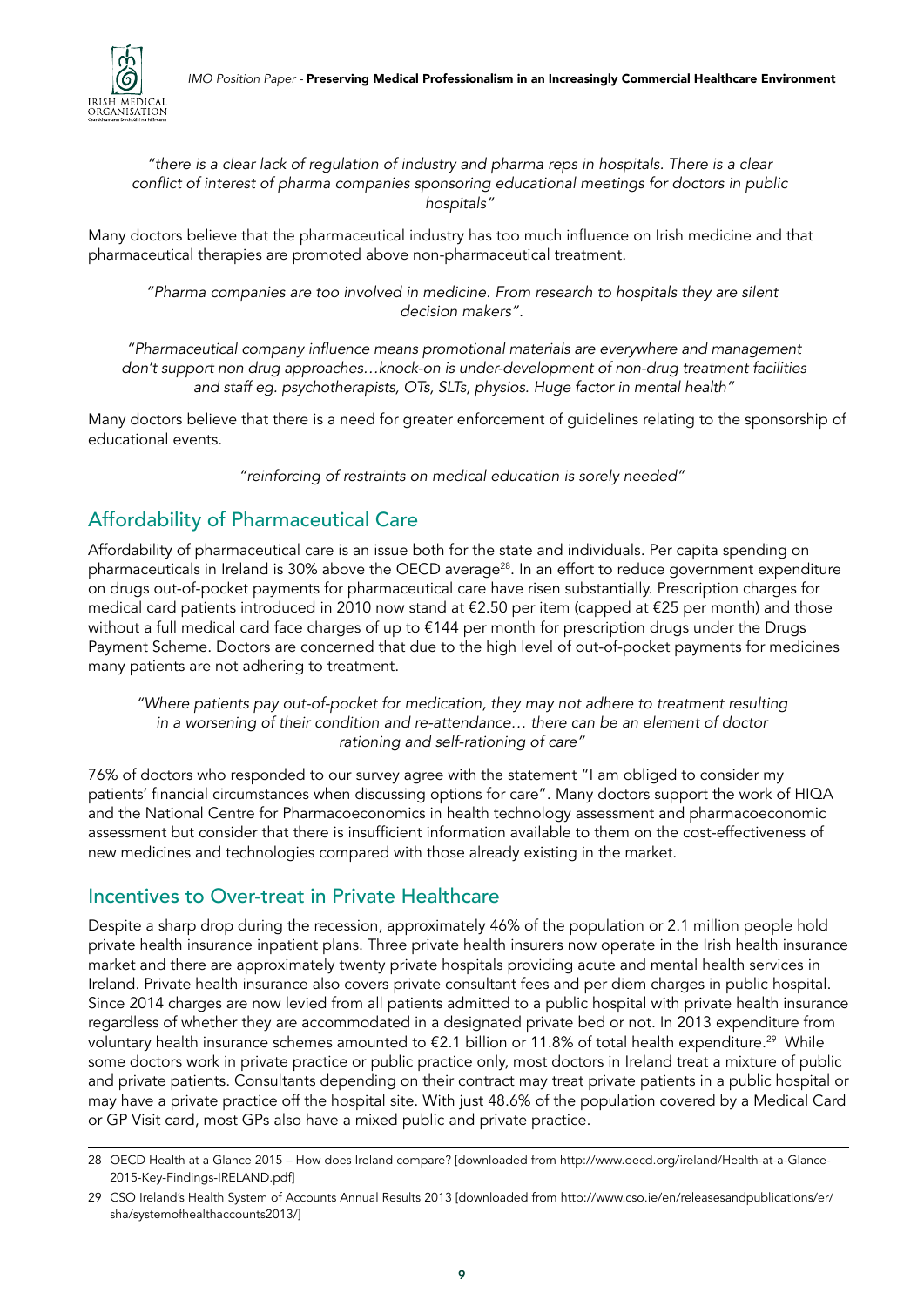

*"there is a clear lack of regulation of industry and pharma reps in hospitals. There is a clear*  conflict of interest of pharma companies sponsoring educational meetings for doctors in public *hospitals"*

Many doctors believe that the pharmaceutical industry has too much influence on Irish medicine and that pharmaceutical therapies are promoted above non-pharmaceutical treatment.

*"Pharma companies are too involved in medicine. From research to hospitals they are silent decision makers".*

"Pharmaceutical company influence means promotional materials are everywhere and management *don't support non drug approaches…knock-on is under-development of non-drug treatment facilities and staff eg. psychotherapists, OTs, SLTs, physios. Huge factor in mental health"*

Many doctors believe that there is a need for greater enforcement of guidelines relating to the sponsorship of educational events.

*"reinforcing of restraints on medical education is sorely needed"*

## Affordability of Pharmaceutical Care

Affordability of pharmaceutical care is an issue both for the state and individuals. Per capita spending on pharmaceuticals in Ireland is 30% above the OECD average<sup>28</sup>. In an effort to reduce government expenditure on drugs out-of-pocket payments for pharmaceutical care have risen substantially. Prescription charges for medical card patients introduced in 2010 now stand at €2.50 per item (capped at €25 per month) and those without a full medical card face charges of up to €144 per month for prescription drugs under the Drugs Payment Scheme. Doctors are concerned that due to the high level of out-of-pocket payments for medicines many patients are not adhering to treatment.

*"Where patients pay out-of-pocket for medication, they may not adhere to treatment resulting in a worsening of their condition and re-attendance… there can be an element of doctor rationing and self-rationing of care"* 

76% of doctors who responded to our survey agree with the statement "I am obliged to consider my patients' financial circumstances when discussing options for care". Many doctors support the work of HIQA and the National Centre for Pharmacoeconomics in health technology assessment and pharmacoeconomic assessment but consider that there is insufficient information available to them on the cost-effectiveness of new medicines and technologies compared with those already existing in the market.

## Incentives to Over-treat in Private Healthcare

Despite a sharp drop during the recession, approximately 46% of the population or 2.1 million people hold private health insurance inpatient plans. Three private health insurers now operate in the Irish health insurance market and there are approximately twenty private hospitals providing acute and mental health services in Ireland. Private health insurance also covers private consultant fees and per diem charges in public hospital. Since 2014 charges are now levied from all patients admitted to a public hospital with private health insurance regardless of whether they are accommodated in a designated private bed or not. In 2013 expenditure from voluntary health insurance schemes amounted to €2.1 billion or 11.8% of total health expenditure.<sup>29</sup> While some doctors work in private practice or public practice only, most doctors in Ireland treat a mixture of public and private patients. Consultants depending on their contract may treat private patients in a public hospital or may have a private practice off the hospital site. With just 48.6% of the population covered by a Medical Card or GP Visit card, most GPs also have a mixed public and private practice.

<sup>28</sup> OECD Health at a Glance 2015 – How does Ireland compare? [downloaded from http://www.oecd.org/ireland/Health-at-a-Glance-2015-Key-Findings-IRELAND.pdf]

<sup>29</sup> CSO Ireland's Health System of Accounts Annual Results 2013 [downloaded from http://www.cso.ie/en/releasesandpublications/er/ sha/systemofhealthaccounts2013/]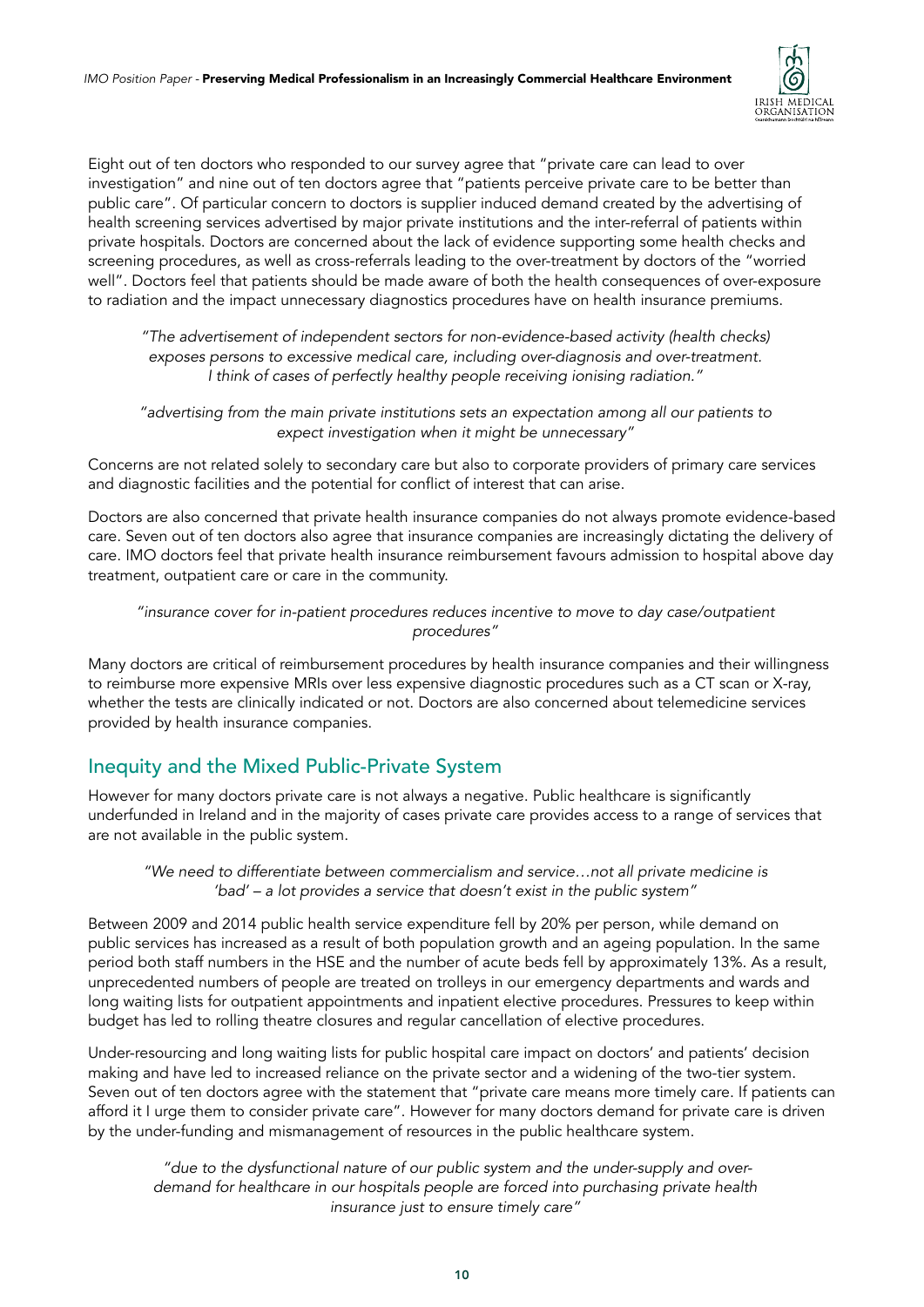

Eight out of ten doctors who responded to our survey agree that "private care can lead to over investigation" and nine out of ten doctors agree that "patients perceive private care to be better than public care". Of particular concern to doctors is supplier induced demand created by the advertising of health screening services advertised by major private institutions and the inter-referral of patients within private hospitals. Doctors are concerned about the lack of evidence supporting some health checks and screening procedures, as well as cross-referrals leading to the over-treatment by doctors of the "worried well". Doctors feel that patients should be made aware of both the health consequences of over-exposure to radiation and the impact unnecessary diagnostics procedures have on health insurance premiums.

*"The advertisement of independent sectors for non-evidence-based activity (health checks) exposes persons to excessive medical care, including over-diagnosis and over-treatment. I think of cases of perfectly healthy people receiving ionising radiation."*

*"advertising from the main private institutions sets an expectation among all our patients to expect investigation when it might be unnecessary"*

Concerns are not related solely to secondary care but also to corporate providers of primary care services and diagnostic facilities and the potential for conflict of interest that can arise.

Doctors are also concerned that private health insurance companies do not always promote evidence-based care. Seven out of ten doctors also agree that insurance companies are increasingly dictating the delivery of care. IMO doctors feel that private health insurance reimbursement favours admission to hospital above day treatment, outpatient care or care in the community.

#### *"insurance cover for in-patient procedures reduces incentive to move to day case/outpatient procedures"*

Many doctors are critical of reimbursement procedures by health insurance companies and their willingness to reimburse more expensive MRIs over less expensive diagnostic procedures such as a CT scan or X-ray, whether the tests are clinically indicated or not. Doctors are also concerned about telemedicine services provided by health insurance companies.

## Inequity and the Mixed Public-Private System

However for many doctors private care is not always a negative. Public healthcare is significantly underfunded in Ireland and in the majority of cases private care provides access to a range of services that are not available in the public system.

*"We need to differentiate between commercialism and service…not all private medicine is 'bad' – a lot provides a service that doesn't exist in the public system"* 

Between 2009 and 2014 public health service expenditure fell by 20% per person, while demand on public services has increased as a result of both population growth and an ageing population. In the same period both staff numbers in the HSE and the number of acute beds fell by approximately 13%. As a result, unprecedented numbers of people are treated on trolleys in our emergency departments and wards and long waiting lists for outpatient appointments and inpatient elective procedures. Pressures to keep within budget has led to rolling theatre closures and regular cancellation of elective procedures.

Under-resourcing and long waiting lists for public hospital care impact on doctors' and patients' decision making and have led to increased reliance on the private sector and a widening of the two-tier system. Seven out of ten doctors agree with the statement that "private care means more timely care. If patients can afford it I urge them to consider private care". However for many doctors demand for private care is driven by the under-funding and mismanagement of resources in the public healthcare system.

 *"due to the dysfunctional nature of our public system and the under-supply and overdemand for healthcare in our hospitals people are forced into purchasing private health insurance just to ensure timely care"*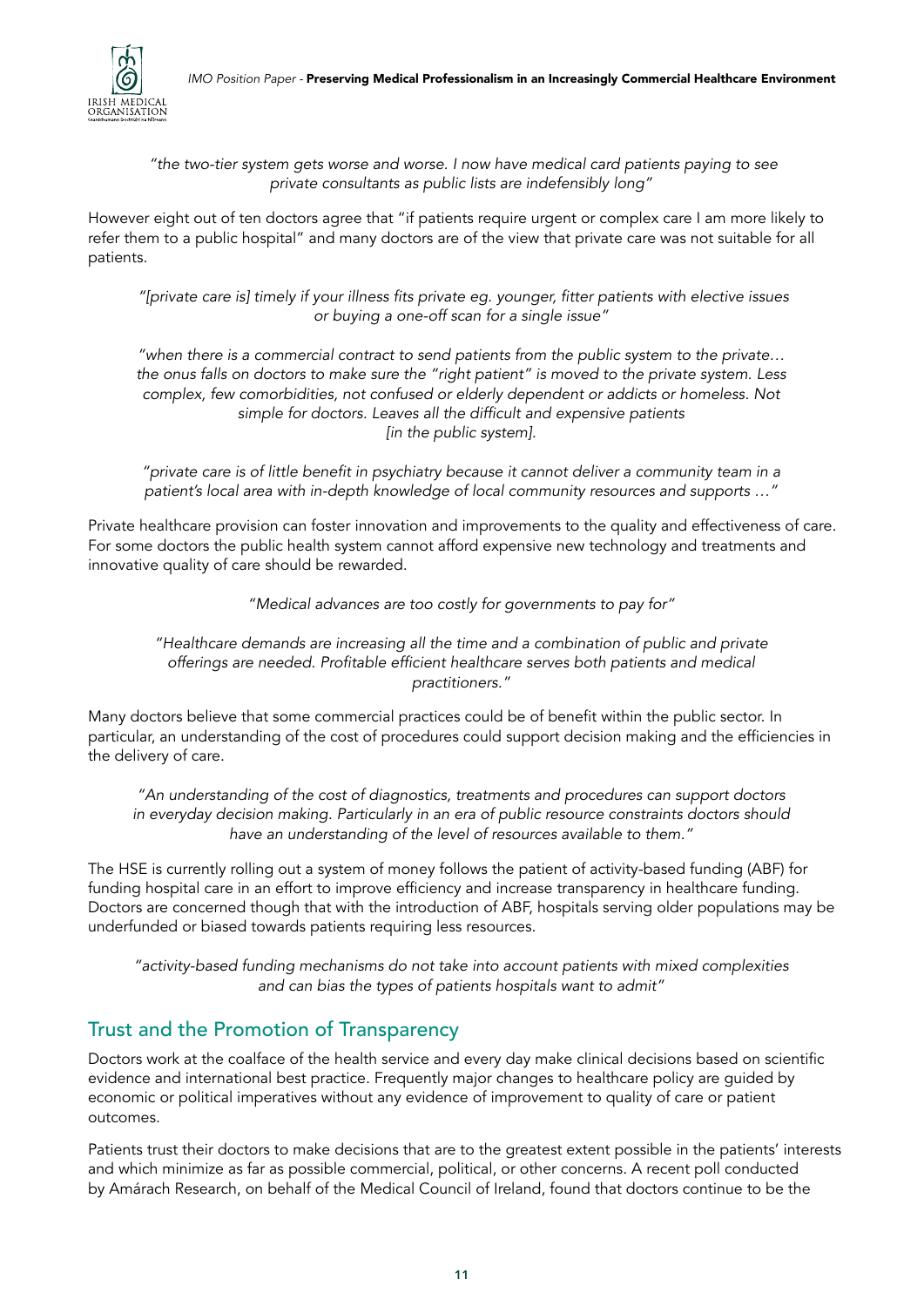

 *"the two-tier system gets worse and worse. I now have medical card patients paying to see private consultants as public lists are indefensibly long"*

However eight out of ten doctors agree that "if patients require urgent or complex care I am more likely to refer them to a public hospital" and many doctors are of the view that private care was not suitable for all patients.

 "[private care is] timely if your illness fits private eg. younger, fitter patients with elective issues *or buying a one-off scan for a single issue"*

*"when there is a commercial contract to send patients from the public system to the private… the onus falls on doctors to make sure the "right patient" is moved to the private system. Less complex, few comorbidities, not confused or elderly dependent or addicts or homeless. Not*  simple for doctors. Leaves all the difficult and expensive patients *[in the public system].* 

"private care is of little benefit in psychiatry because it cannot deliver a community team in a *patient's local area with in-depth knowledge of local community resources and supports …"*

Private healthcare provision can foster innovation and improvements to the quality and effectiveness of care. For some doctors the public health system cannot afford expensive new technology and treatments and innovative quality of care should be rewarded.

*"Medical advances are too costly for governments to pay for"*

*"Healthcare demands are increasing all the time and a combination of public and private*  offerings are needed. Profitable efficient healthcare serves both patients and medical *practitioners."*

Many doctors believe that some commercial practices could be of benefit within the public sector. In particular, an understanding of the cost of procedures could support decision making and the efficiencies in the delivery of care.

*"An understanding of the cost of diagnostics, treatments and procedures can support doctors in everyday decision making. Particularly in an era of public resource constraints doctors should have an understanding of the level of resources available to them."*

The HSE is currently rolling out a system of money follows the patient of activity-based funding (ABF) for funding hospital care in an effort to improve efficiency and increase transparency in healthcare funding. Doctors are concerned though that with the introduction of ABF, hospitals serving older populations may be underfunded or biased towards patients requiring less resources.

*"activity-based funding mechanisms do not take into account patients with mixed complexities and can bias the types of patients hospitals want to admit"*

## Trust and the Promotion of Transparency

Doctors work at the coalface of the health service and every day make clinical decisions based on scientific evidence and international best practice. Frequently major changes to healthcare policy are guided by economic or political imperatives without any evidence of improvement to quality of care or patient outcomes.

Patients trust their doctors to make decisions that are to the greatest extent possible in the patients' interests and which minimize as far as possible commercial, political, or other concerns. A recent poll conducted by Amárach Research, on behalf of the Medical Council of Ireland, found that doctors continue to be the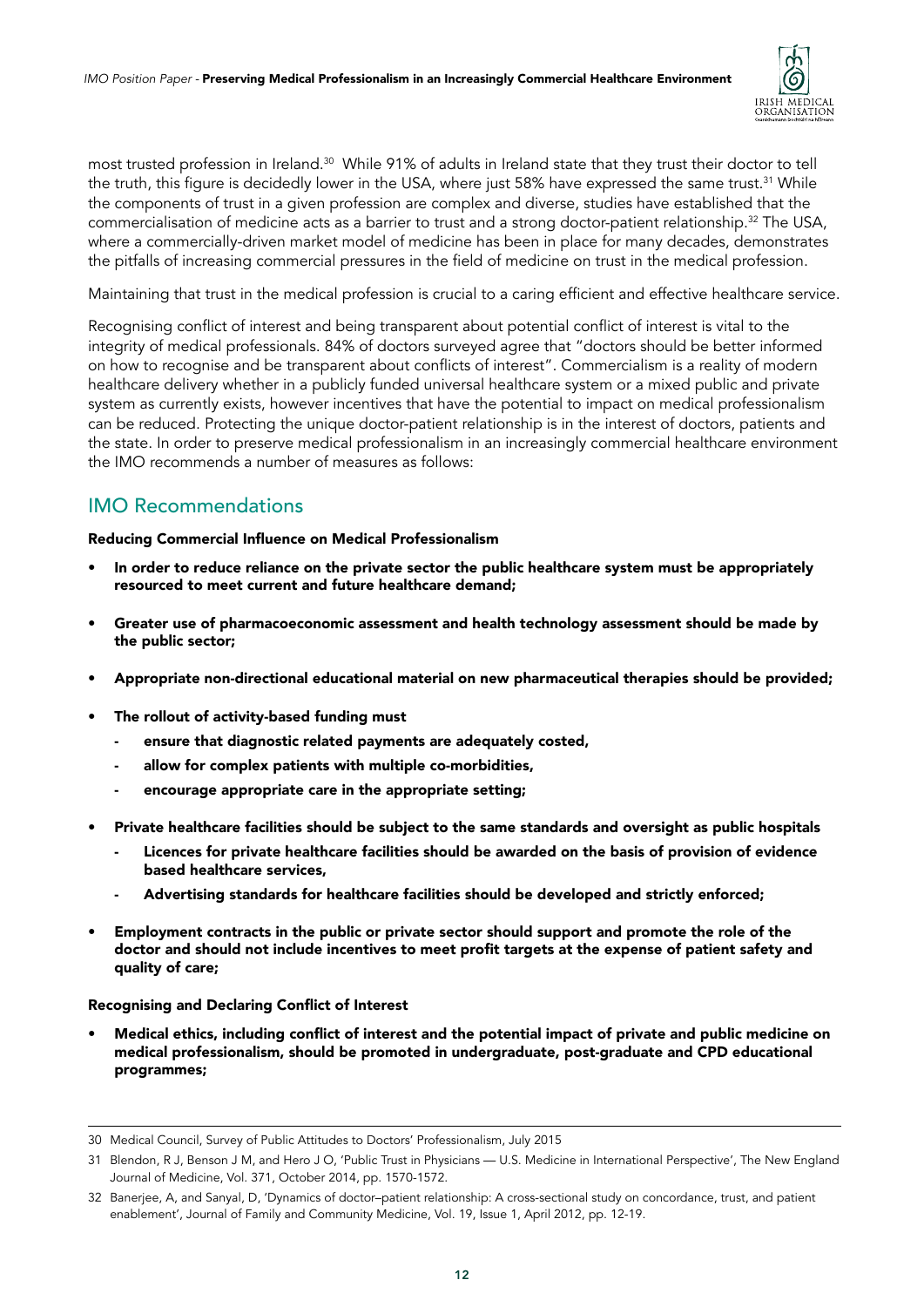

most trusted profession in Ireland.30 While 91% of adults in Ireland state that they trust their doctor to tell the truth, this figure is decidedly lower in the USA, where just 58% have expressed the same trust.<sup>31</sup> While the components of trust in a given profession are complex and diverse, studies have established that the commercialisation of medicine acts as a barrier to trust and a strong doctor-patient relationship.32 The USA, where a commercially-driven market model of medicine has been in place for many decades, demonstrates the pitfalls of increasing commercial pressures in the field of medicine on trust in the medical profession.

Maintaining that trust in the medical profession is crucial to a caring efficient and effective healthcare service.

Recognising conflict of interest and being transparent about potential conflict of interest is vital to the integrity of medical professionals. 84% of doctors surveyed agree that "doctors should be better informed on how to recognise and be transparent about conflicts of interest". Commercialism is a reality of modern healthcare delivery whether in a publicly funded universal healthcare system or a mixed public and private system as currently exists, however incentives that have the potential to impact on medical professionalism can be reduced. Protecting the unique doctor-patient relationship is in the interest of doctors, patients and the state. In order to preserve medical professionalism in an increasingly commercial healthcare environment the IMO recommends a number of measures as follows:

## IMO Recommendations

#### Reducing Commercial Influence on Medical Professionalism

- In order to reduce reliance on the private sector the public healthcare system must be appropriately resourced to meet current and future healthcare demand;
- Greater use of pharmacoeconomic assessment and health technology assessment should be made by the public sector;
- Appropriate non-directional educational material on new pharmaceutical therapies should be provided;
- The rollout of activity-based funding must
	- ensure that diagnostic related payments are adequately costed,
	- allow for complex patients with multiple co-morbidities,
	- encourage appropriate care in the appropriate setting;
- Private healthcare facilities should be subject to the same standards and oversight as public hospitals
	- Licences for private healthcare facilities should be awarded on the basis of provision of evidence based healthcare services,
	- Advertising standards for healthcare facilities should be developed and strictly enforced;
- Employment contracts in the public or private sector should support and promote the role of the doctor and should not include incentives to meet profit targets at the expense of patient safety and quality of care;

#### Recognising and Declaring Conflict of Interest

• Medical ethics, including conflict of interest and the potential impact of private and public medicine on medical professionalism, should be promoted in undergraduate, post-graduate and CPD educational programmes;

<sup>30</sup> Medical Council, Survey of Public Attitudes to Doctors' Professionalism, July 2015

<sup>31</sup> Blendon, R J, Benson J M, and Hero J O, 'Public Trust in Physicians — U.S. Medicine in International Perspective', The New England Journal of Medicine, Vol. 371, October 2014, pp. 1570-1572.

<sup>32</sup> Banerjee, A, and Sanyal, D, 'Dynamics of doctor–patient relationship: A cross-sectional study on concordance, trust, and patient enablement', Journal of Family and Community Medicine, Vol. 19, Issue 1, April 2012, pp. 12-19.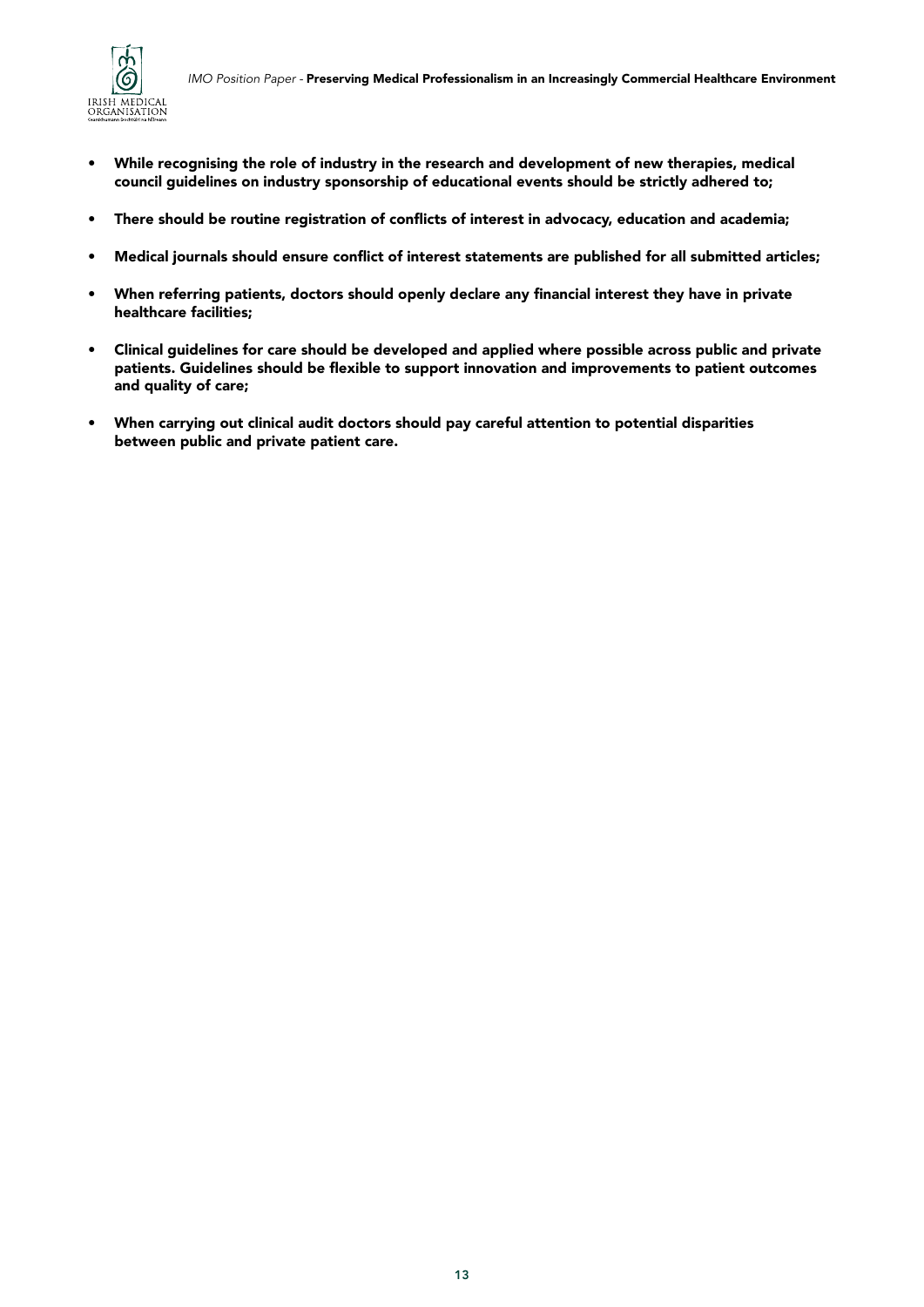

- While recognising the role of industry in the research and development of new therapies, medical council guidelines on industry sponsorship of educational events should be strictly adhered to;
- There should be routine registration of conflicts of interest in advocacy, education and academia;
- Medical journals should ensure conflict of interest statements are published for all submitted articles;
- When referring patients, doctors should openly declare any financial interest they have in private healthcare facilities;
- Clinical guidelines for care should be developed and applied where possible across public and private patients. Guidelines should be flexible to support innovation and improvements to patient outcomes and quality of care;
- When carrying out clinical audit doctors should pay careful attention to potential disparities between public and private patient care.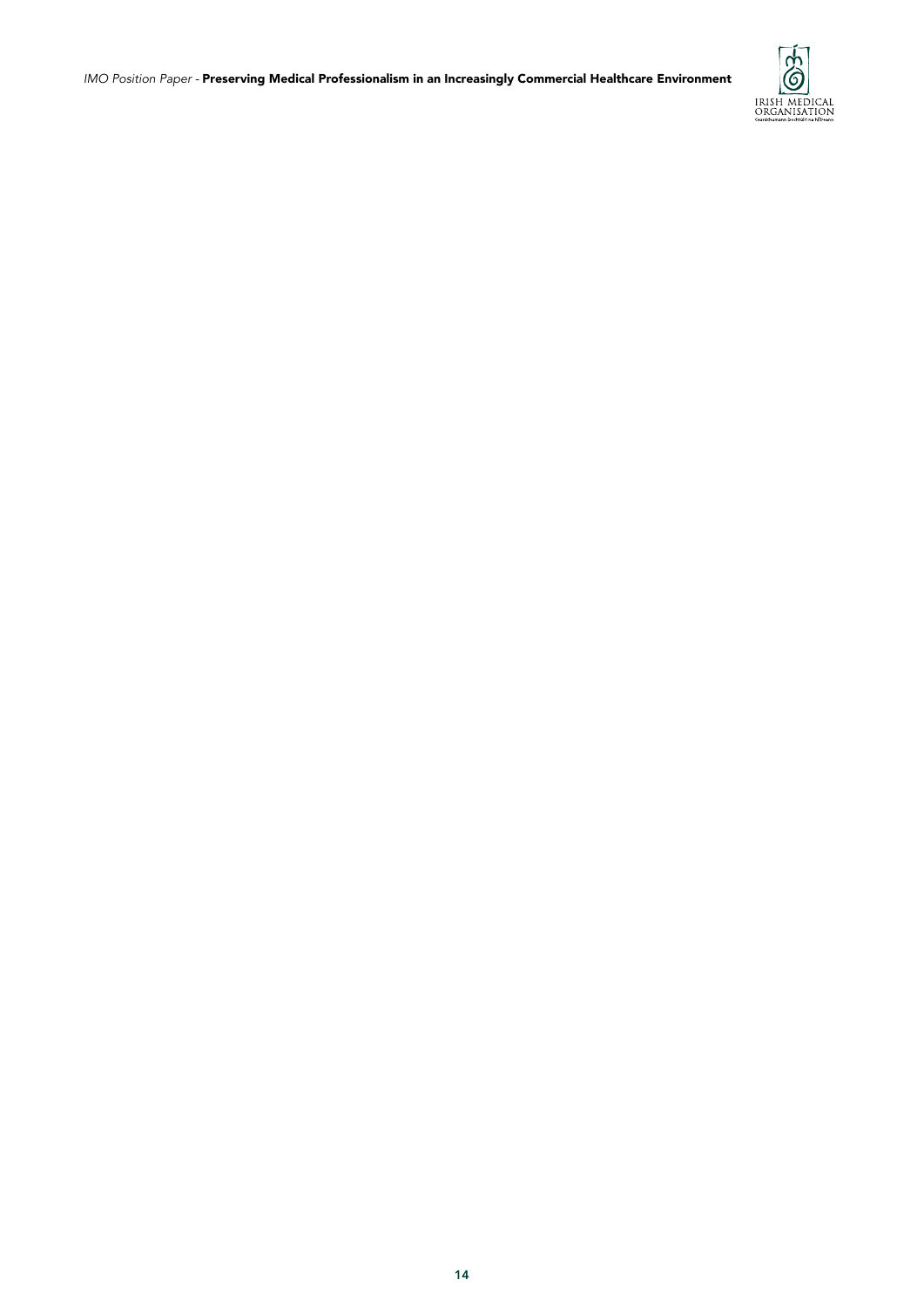